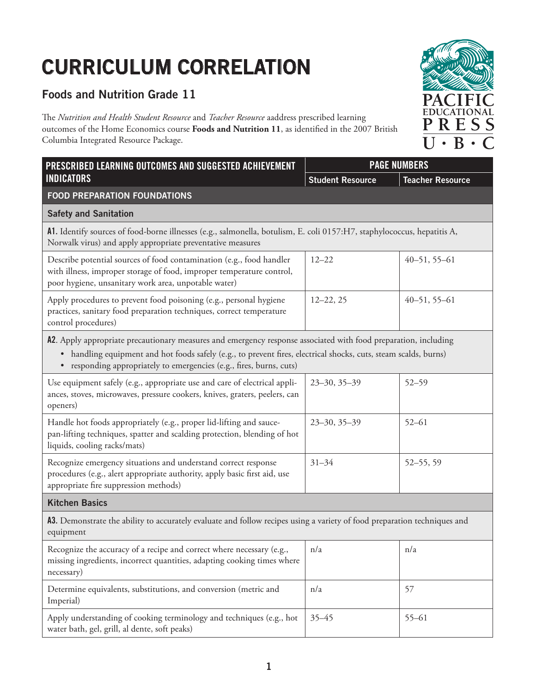## **CURRICULUM CORRELATION**

## **Foods and Nutrition Grade 11**

The *Nutrition and Health Student Resource* and *Teacher Resource* aaddress prescribed learning outcomes of the Home Economics course **Foods and Nutrition 11**, as identified in the 2007 British Columbia Integrated Resource Package.

| PRESCRIBED LEARNING OUTCOMES AND SUGGESTED ACHIEVEMENT                                                                                                                                                                                                                                                      | <b>PAGE NUMBERS</b>     |                         |  |  |
|-------------------------------------------------------------------------------------------------------------------------------------------------------------------------------------------------------------------------------------------------------------------------------------------------------------|-------------------------|-------------------------|--|--|
| <b>INDICATORS</b>                                                                                                                                                                                                                                                                                           | <b>Student Resource</b> | <b>Teacher Resource</b> |  |  |
| <b>FOOD PREPARATION FOUNDATIONS</b>                                                                                                                                                                                                                                                                         |                         |                         |  |  |
| <b>Safety and Sanitation</b>                                                                                                                                                                                                                                                                                |                         |                         |  |  |
| A1. Identify sources of food-borne illnesses (e.g., salmonella, botulism, E. coli 0157:H7, staphylococcus, hepatitis A,<br>Norwalk virus) and apply appropriate preventative measures                                                                                                                       |                         |                         |  |  |
| Describe potential sources of food contamination (e.g., food handler<br>with illness, improper storage of food, improper temperature control,<br>poor hygiene, unsanitary work area, unpotable water)                                                                                                       | $12 - 22$               | $40 - 51, 55 - 61$      |  |  |
| Apply procedures to prevent food poisoning (e.g., personal hygiene<br>practices, sanitary food preparation techniques, correct temperature<br>control procedures)                                                                                                                                           | $12 - 22, 25$           | $40 - 51, 55 - 61$      |  |  |
| A2. Apply appropriate precautionary measures and emergency response associated with food preparation, including<br>• handling equipment and hot foods safely (e.g., to prevent fires, electrical shocks, cuts, steam scalds, burns)<br>• responding appropriately to emergencies (e.g., fires, burns, cuts) |                         |                         |  |  |
| Use equipment safely (e.g., appropriate use and care of electrical appli-<br>ances, stoves, microwaves, pressure cookers, knives, graters, peelers, can<br>openers)                                                                                                                                         | $23 - 30, 35 - 39$      | $52 - 59$               |  |  |
| Handle hot foods appropriately (e.g., proper lid-lifting and sauce-<br>pan-lifting techniques, spatter and scalding protection, blending of hot<br>liquids, cooling racks/mats)                                                                                                                             | $23 - 30, 35 - 39$      | $52 - 61$               |  |  |
| Recognize emergency situations and understand correct response<br>procedures (e.g., alert appropriate authority, apply basic first aid, use<br>appropriate fire suppression methods)                                                                                                                        | $31 - 34$               | $52 - 55, 59$           |  |  |
| <b>Kitchen Basics</b>                                                                                                                                                                                                                                                                                       |                         |                         |  |  |
| A3. Demonstrate the ability to accurately evaluate and follow recipes using a variety of food preparation techniques and<br>equipment                                                                                                                                                                       |                         |                         |  |  |
| Recognize the accuracy of a recipe and correct where necessary (e.g.,<br>missing ingredients, incorrect quantities, adapting cooking times where<br>necessary)                                                                                                                                              | n/a                     | n/a                     |  |  |
| Determine equivalents, substitutions, and conversion (metric and<br>Imperial)                                                                                                                                                                                                                               | n/a                     | 57                      |  |  |
| Apply understanding of cooking terminology and techniques (e.g., hot<br>water bath, gel, grill, al dente, soft peaks)                                                                                                                                                                                       | $35 - 45$               | $55 - 61$               |  |  |

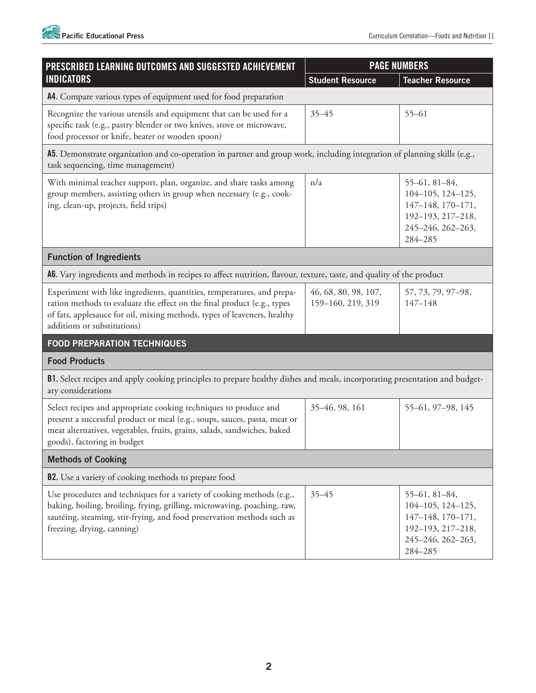

| PRESCRIBED LEARNING OUTCOMES AND SUGGESTED ACHIEVEMENT<br><b>INDICATORS</b>                                                                                                                                                                                  | <b>PAGE NUMBERS</b>                       |                                                                                                                    |  |  |
|--------------------------------------------------------------------------------------------------------------------------------------------------------------------------------------------------------------------------------------------------------------|-------------------------------------------|--------------------------------------------------------------------------------------------------------------------|--|--|
|                                                                                                                                                                                                                                                              | <b>Student Resource</b>                   | <b>Teacher Resource</b>                                                                                            |  |  |
| A4. Compare various types of equipment used for food preparation                                                                                                                                                                                             |                                           |                                                                                                                    |  |  |
| Recognize the various utensils and equipment that can be used for a<br>specific task (e.g., pastry blender or two knives, stove or microwave,<br>food processor or knife, beater or wooden spoon)                                                            | $35 - 45$                                 | $55 - 61$                                                                                                          |  |  |
| A5. Demonstrate organization and co-operation in partner and group work, including integration of planning skills (e.g.,<br>task sequencing, time management)                                                                                                |                                           |                                                                                                                    |  |  |
| With minimal teacher support, plan, organize, and share tasks among<br>group members, assisting others in group when necessary (e.g., cook-<br>ing, clean-up, projects, field trips)                                                                         | n/a                                       | $55-61, 81-84,$<br>104-105, 124-125,<br>147-148, 170-171,<br>192-193, 217-218,<br>245-246, 262-263,<br>284-285     |  |  |
| <b>Function of Ingredients</b>                                                                                                                                                                                                                               |                                           |                                                                                                                    |  |  |
| A6. Vary ingredients and methods in recipes to affect nutrition, flavour, texture, taste, and quality of the product                                                                                                                                         |                                           |                                                                                                                    |  |  |
| Experiment with like ingredients, quantities, temperatures, and prepa-<br>ration methods to evaluate the effect on the final product (e.g., types<br>of fats, applesauce for oil, mixing methods, types of leaveners, healthy<br>additions or substitutions) | 46, 68, 80, 98, 107,<br>159-160, 219, 319 | 57, 73, 79, 97-98,<br>$147 - 148$                                                                                  |  |  |
| <b>FOOD PREPARATION TECHNIQUES</b>                                                                                                                                                                                                                           |                                           |                                                                                                                    |  |  |
| <b>Food Products</b>                                                                                                                                                                                                                                         |                                           |                                                                                                                    |  |  |
| B1. Select recipes and apply cooking principles to prepare healthy dishes and meals, incorporating presentation and budget-<br>ary considerations                                                                                                            |                                           |                                                                                                                    |  |  |
| Select recipes and appropriate cooking techniques to produce and<br>present a successful product or meal (e.g., soups, sauces, pasta, meat or<br>meat alternatives, vegetables, fruits, grains, salads, sandwiches, baked<br>goods), factoring in budget     | 35-46, 98, 161                            | 55-61, 97-98, 145                                                                                                  |  |  |
| <b>Methods of Cooking</b>                                                                                                                                                                                                                                    |                                           |                                                                                                                    |  |  |
| <b>B2.</b> Use a variety of cooking methods to prepare food                                                                                                                                                                                                  |                                           |                                                                                                                    |  |  |
| Use procedures and techniques for a variety of cooking methods (e.g.,<br>baking, boiling, broiling, frying, grilling, microwaving, poaching, raw,<br>sautéing, steaming, stir-frying, and food preservation methods such as<br>freezing, drying, canning)    | $35 - 45$                                 | $55 - 61, 81 - 84,$<br>104-105, 124-125,<br>147-148, 170-171,<br>192-193, 217-218,<br>245-246, 262-263,<br>284-285 |  |  |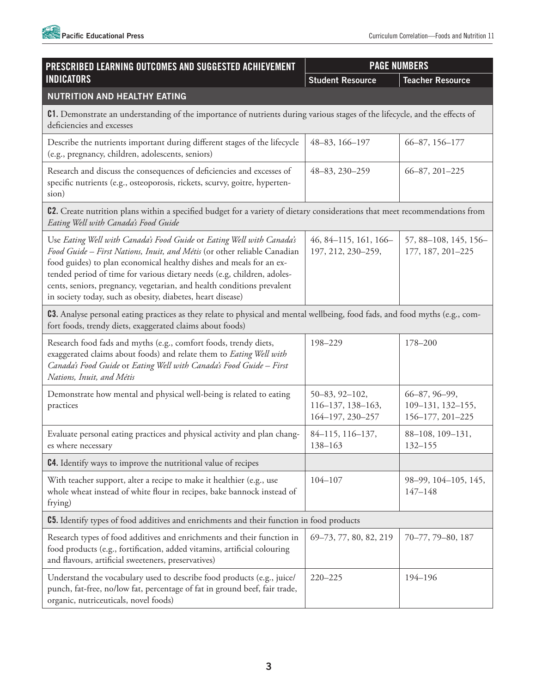

| PRESCRIBED LEARNING OUTCOMES AND SUGGESTED ACHIEVEMENT<br><b>INDICATORS</b>                                                                                                                                                                                                                                                                                                                                                                  | <b>PAGE NUMBERS</b>                                     |                                                        |  |  |
|----------------------------------------------------------------------------------------------------------------------------------------------------------------------------------------------------------------------------------------------------------------------------------------------------------------------------------------------------------------------------------------------------------------------------------------------|---------------------------------------------------------|--------------------------------------------------------|--|--|
|                                                                                                                                                                                                                                                                                                                                                                                                                                              | <b>Student Resource</b>                                 | <b>Teacher Resource</b>                                |  |  |
| <b>NUTRITION AND HEALTHY EATING</b>                                                                                                                                                                                                                                                                                                                                                                                                          |                                                         |                                                        |  |  |
| C1. Demonstrate an understanding of the importance of nutrients during various stages of the lifecycle, and the effects of<br>deficiencies and excesses                                                                                                                                                                                                                                                                                      |                                                         |                                                        |  |  |
| Describe the nutrients important during different stages of the lifecycle<br>(e.g., pregnancy, children, adolescents, seniors)                                                                                                                                                                                                                                                                                                               | 48-83, 166-197                                          | 66-87, 156-177                                         |  |  |
| Research and discuss the consequences of deficiencies and excesses of<br>specific nutrients (e.g., osteoporosis, rickets, scurvy, goitre, hyperten-<br>sion)                                                                                                                                                                                                                                                                                 | 48-83, 230-259                                          | $66 - 87, 201 - 225$                                   |  |  |
| C2. Create nutrition plans within a specified budget for a variety of dietary considerations that meet recommendations from<br>Eating Well with Canada's Food Guide                                                                                                                                                                                                                                                                          |                                                         |                                                        |  |  |
| Use Eating Well with Canada's Food Guide or Eating Well with Canada's<br>Food Guide - First Nations, Inuit, and Métis (or other reliable Canadian<br>food guides) to plan economical healthy dishes and meals for an ex-<br>tended period of time for various dietary needs (e.g, children, adoles-<br>cents, seniors, pregnancy, vegetarian, and health conditions prevalent<br>in society today, such as obesity, diabetes, heart disease) | 46, 84-115, 161, 166-<br>197, 212, 230-259,             | 57, 88-108, 145, 156-<br>177, 187, 201-225             |  |  |
| <b>C3</b> . Analyse personal eating practices as they relate to physical and mental wellbeing, food fads, and food myths (e.g., com-<br>fort foods, trendy diets, exaggerated claims about foods)                                                                                                                                                                                                                                            |                                                         |                                                        |  |  |
| Research food fads and myths (e.g., comfort foods, trendy diets,<br>exaggerated claims about foods) and relate them to Eating Well with<br>Canada's Food Guide or Eating Well with Canada's Food Guide - First<br>Nations, Inuit, and Métis                                                                                                                                                                                                  | 198-229                                                 | 178-200                                                |  |  |
| Demonstrate how mental and physical well-being is related to eating<br>practices                                                                                                                                                                                                                                                                                                                                                             | 50-83, 92-102,<br>116-137, 138-163,<br>164-197, 230-257 | 66-87, 96-99,<br>109-131, 132-155,<br>156-177, 201-225 |  |  |
| Evaluate personal eating practices and physical activity and plan chang-<br>es where necessary                                                                                                                                                                                                                                                                                                                                               | 84-115, 116-137,<br>138-163                             | 88-108, 109-131,<br>$132 - 155$                        |  |  |
| <b>C4.</b> Identify ways to improve the nutritional value of recipes                                                                                                                                                                                                                                                                                                                                                                         |                                                         |                                                        |  |  |
| With teacher support, alter a recipe to make it healthier (e.g., use<br>whole wheat instead of white flour in recipes, bake bannock instead of<br>frying)                                                                                                                                                                                                                                                                                    | $104 - 107$                                             | 98-99, 104-105, 145,<br>$147 - 148$                    |  |  |
| <b>C5.</b> Identify types of food additives and enrichments and their function in food products                                                                                                                                                                                                                                                                                                                                              |                                                         |                                                        |  |  |
| Research types of food additives and enrichments and their function in<br>food products (e.g., fortification, added vitamins, artificial colouring<br>and flavours, artificial sweeteners, preservatives)                                                                                                                                                                                                                                    | 69-73, 77, 80, 82, 219                                  | 70-77, 79-80, 187                                      |  |  |
| Understand the vocabulary used to describe food products (e.g., juice/<br>punch, fat-free, no/low fat, percentage of fat in ground beef, fair trade,<br>organic, nutriceuticals, novel foods)                                                                                                                                                                                                                                                | $220 - 225$                                             | 194-196                                                |  |  |